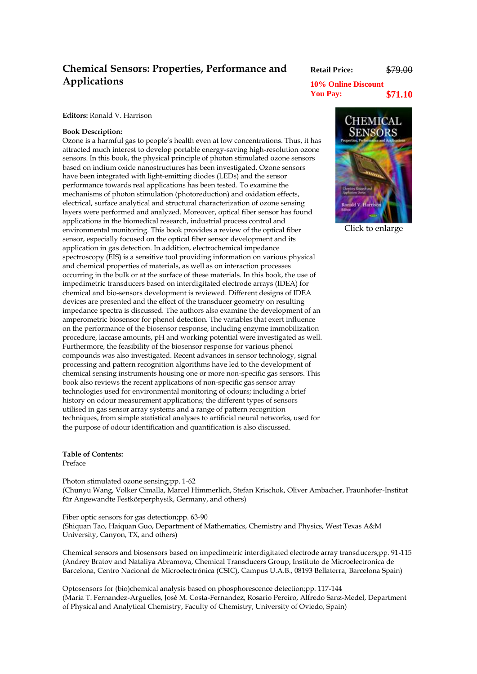## **Chemical Sensors: Properties, Performance and Applications**

**Retail Price:** \$79.00

**10% Online Discount You Pay: \$71.10**

**Editors:** Ronald V. Harrison

## **Book Description:**

Ozone is a harmful gas to people's health even at low concentrations. Thus, it has attracted much interest to develop portable energy-saving high-resolution ozone sensors. In this book, the physical principle of photon stimulated ozone sensors based on indium oxide nanostructures has been investigated. Ozone sensors have been integrated with light-emitting diodes (LEDs) and the sensor performance towards real applications has been tested. To examine the mechanisms of photon stimulation (photoreduction) and oxidation effects, electrical, surface analytical and structural characterization of ozone sensing layers were performed and analyzed. Moreover, optical fiber sensor has found applications in the biomedical research, industrial process control and environmental monitoring. This book provides a review of the optical fiber sensor, especially focused on the optical fiber sensor development and its application in gas detection. In addition, electrochemical impedance spectroscopy (EIS) is a sensitive tool providing information on various physical and chemical properties of materials, as well as on interaction processes occurring in the bulk or at the surface of these materials. In this book, the use of impedimetric transducers based on interdigitated electrode arrays (IDEA) for chemical and bio-sensors development is reviewed. Different designs of IDEA devices are presented and the effect of the transducer geometry on resulting impedance spectra is discussed. The authors also examine the development of an amperometric biosensor for phenol detection. The variables that exert influence on the performance of the biosensor response, including enzyme immobilization procedure, laccase amounts, pH and working potential were investigated as well. Furthermore, the feasibility of the biosensor response for various phenol compounds was also investigated. Recent advances in sensor technology, signal processing and pattern recognition algorithms have led to the development of chemical sensing instruments housing one or more non-specific gas sensors. This book also reviews the recent applications of non-specific gas sensor array technologies used for environmental monitoring of odours; including a brief history on odour measurement applications; the different types of sensors utilised in gas sensor array systems and a range of pattern recognition techniques, from simple statistical analyses to artificial neural networks, used for the purpose of odour identification and quantification is also discussed.

**Table of Contents:**  Preface

Photon stimulated ozone sensing;pp. 1-62 (Chunyu Wang, Volker Cimalla, Marcel Himmerlich, Stefan Krischok, Oliver Ambacher, Fraunhofer-Institut für Angewandte Festkörperphysik, Germany, and others)

Fiber optic sensors for gas detection;pp. 63-90 (Shiquan Tao, Haiquan Guo, Department of Mathematics, Chemistry and Physics, West Texas A&M University, Canyon, TX, and others)

Chemical sensors and biosensors based on impedimetric interdigitated electrode array transducers;pp. 91-115 (Andrey Bratov and Nataliya Abramova, Chemical Transducers Group, Instituto de Microelectronica de Barcelona, Centro Nacional de Microelectrónica (CSIC), Campus U.A.B., 08193 Bellaterra, Barcelona Spain)

Optosensors for (bio)chemical analysis based on phosphorescence detection;pp. 117-144 (Maria T. Fernandez-Arguelles, José M. Costa-Fernandez, Rosario Pereiro, Alfredo Sanz-Medel, Department of Physical and Analytical Chemistry, Faculty of Chemistry, University of Oviedo, Spain)



[Click to enlarge](javascript:popupWindow()